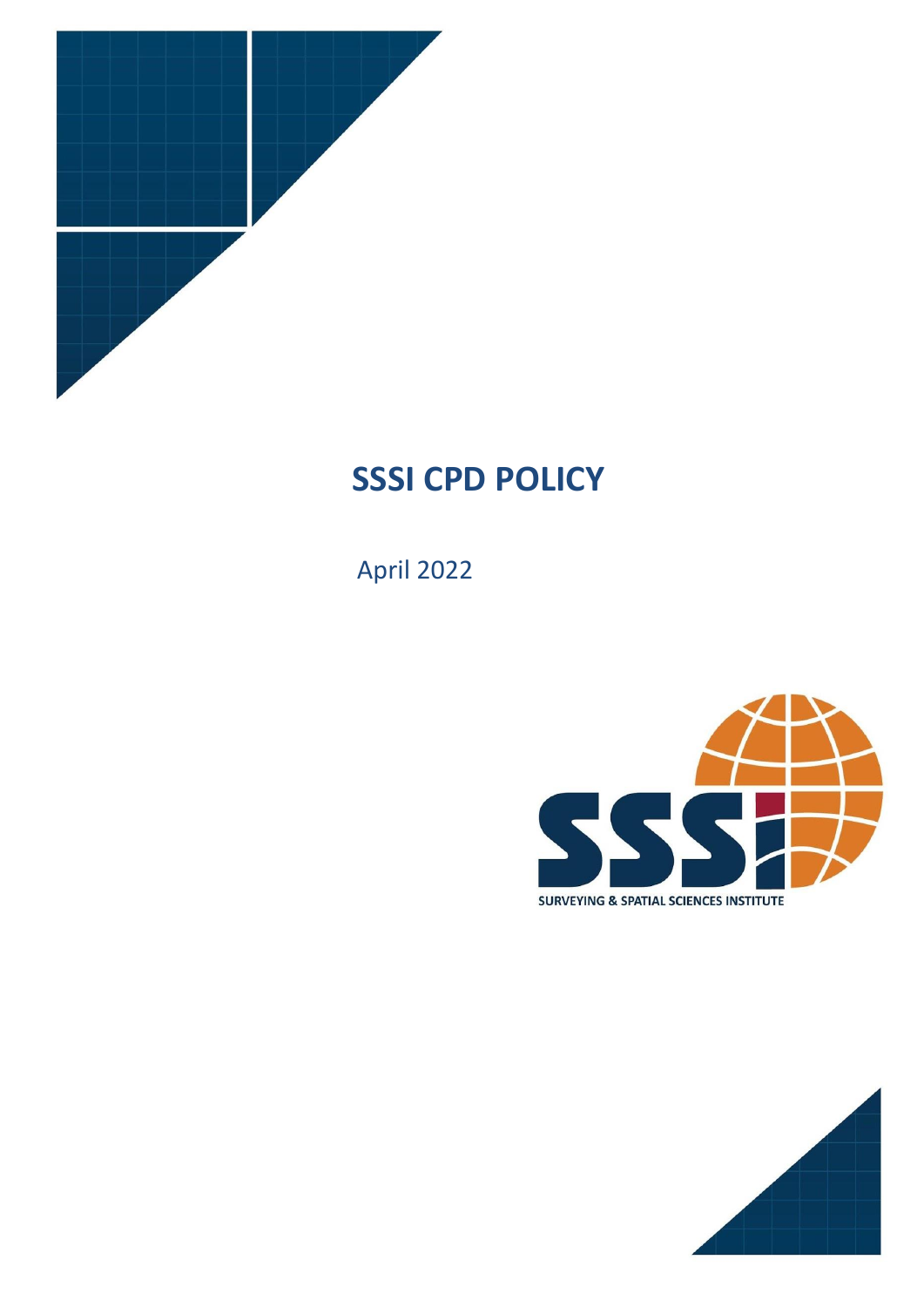

# **SSSI CPD POLICY**

April 2022



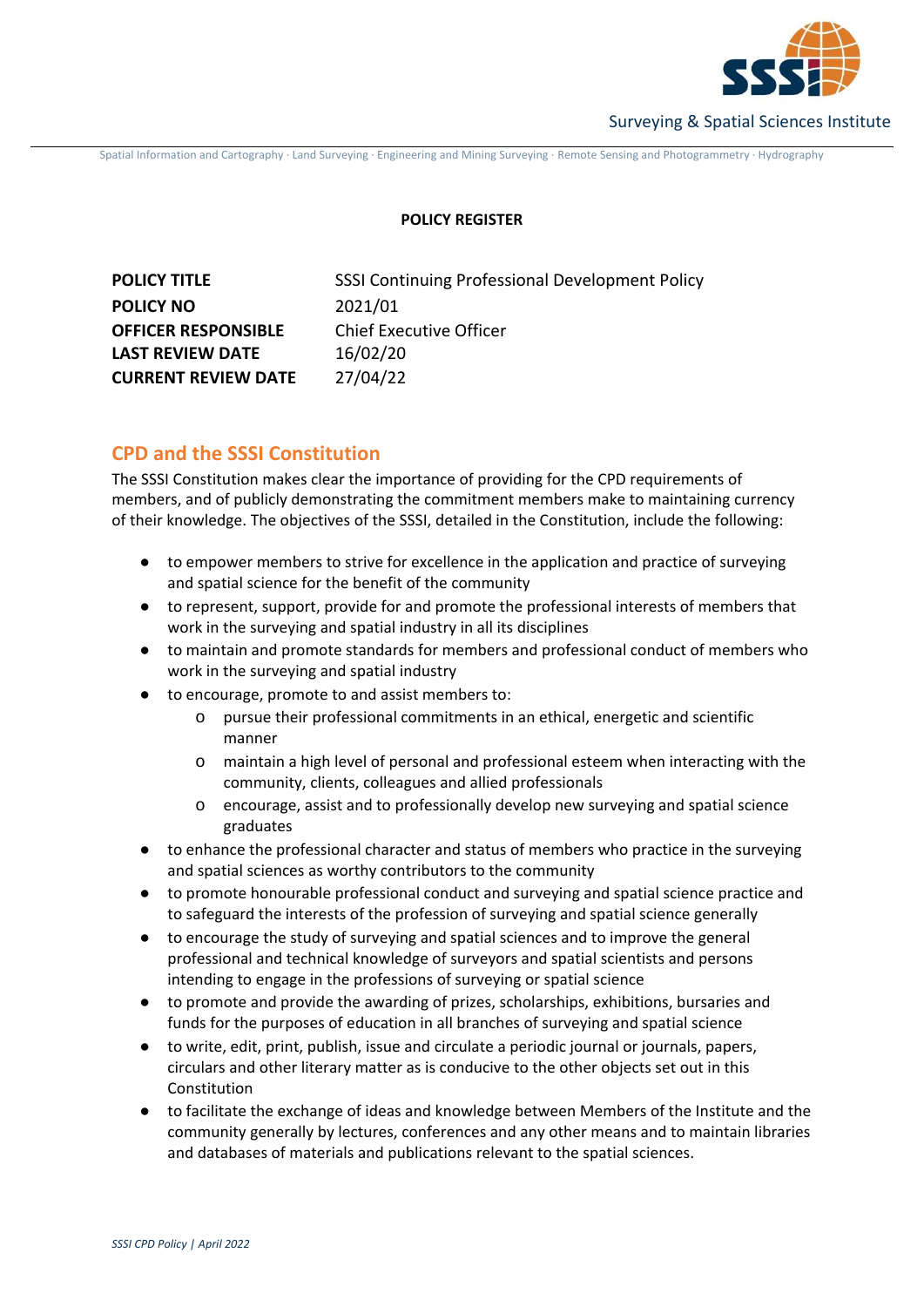

Spatial Information and Cartography ∙ Land Surveying ∙ Engineering and Mining Surveying ∙ Remote Sensing and Photogrammetry ∙ Hydrography

# **POLICY REGISTER**

| <b>POLICY TITLE</b>        | SSSI Continuing Professional Development Policy |
|----------------------------|-------------------------------------------------|
| <b>POLICY NO</b>           | 2021/01                                         |
| <b>OFFICER RESPONSIBLE</b> | <b>Chief Executive Officer</b>                  |
| <b>LAST REVIEW DATE</b>    | 16/02/20                                        |
| <b>CURRENT REVIEW DATE</b> | 27/04/22                                        |

# **CPD and the SSSI Constitution**

The SSSI Constitution makes clear the importance of providing for the CPD requirements of members, and of publicly demonstrating the commitment members make to maintaining currency of their knowledge. The objectives of the SSSI, detailed in the Constitution, include the following:

- to empower members to strive for excellence in the application and practice of surveying and spatial science for the benefit of the community
- to represent, support, provide for and promote the professional interests of members that work in the surveying and spatial industry in all its disciplines
- to maintain and promote standards for members and professional conduct of members who work in the surveying and spatial industry
- to encourage, promote to and assist members to:
	- o pursue their professional commitments in an ethical, energetic and scientific manner
	- o maintain a high level of personal and professional esteem when interacting with the community, clients, colleagues and allied professionals
	- o encourage, assist and to professionally develop new surveying and spatial science graduates
- to enhance the professional character and status of members who practice in the surveying and spatial sciences as worthy contributors to the community
- to promote honourable professional conduct and surveying and spatial science practice and to safeguard the interests of the profession of surveying and spatial science generally
- to encourage the study of surveying and spatial sciences and to improve the general professional and technical knowledge of surveyors and spatial scientists and persons intending to engage in the professions of surveying or spatial science
- to promote and provide the awarding of prizes, scholarships, exhibitions, bursaries and funds for the purposes of education in all branches of surveying and spatial science
- to write, edit, print, publish, issue and circulate a periodic journal or journals, papers, circulars and other literary matter as is conducive to the other objects set out in this Constitution
- to facilitate the exchange of ideas and knowledge between Members of the Institute and the community generally by lectures, conferences and any other means and to maintain libraries and databases of materials and publications relevant to the spatial sciences.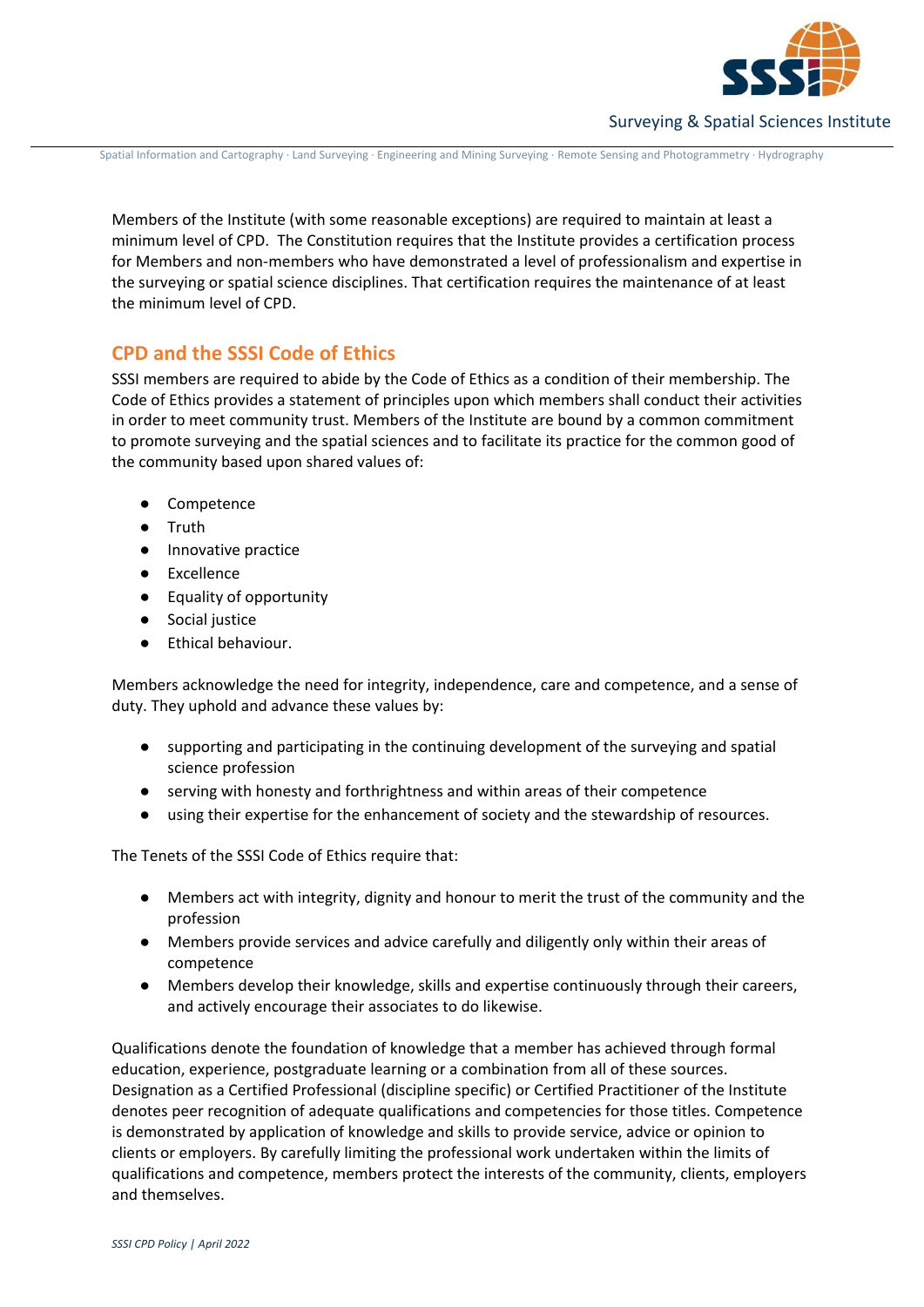

Spatial Information and Cartography ∙ Land Surveying ∙ Engineering and Mining Surveying ∙ Remote Sensing and Photogrammetry ∙ Hydrography

Members of the Institute (with some reasonable exceptions) are required to maintain at least a minimum level of CPD. The Constitution requires that the Institute provides a certification process for Members and non-members who have demonstrated a level of professionalism and expertise in the surveying or spatial science disciplines. That certification requires the maintenance of at least the minimum level of CPD.

# **CPD and the SSSI Code of Ethics**

SSSI members are required to abide by the Code of Ethics as a condition of their membership. The Code of Ethics provides a statement of principles upon which members shall conduct their activities in order to meet community trust. Members of the Institute are bound by a common commitment to promote surveying and the spatial sciences and to facilitate its practice for the common good of the community based upon shared values of:

- Competence
- Truth
- Innovative practice
- Excellence
- Equality of opportunity
- Social justice
- Ethical behaviour.

Members acknowledge the need for integrity, independence, care and competence, and a sense of duty. They uphold and advance these values by:

- supporting and participating in the continuing development of the surveying and spatial science profession
- serving with honesty and forthrightness and within areas of their competence
- using their expertise for the enhancement of society and the stewardship of resources.

The Tenets of the SSSI Code of Ethics require that:

- Members act with integrity, dignity and honour to merit the trust of the community and the profession
- Members provide services and advice carefully and diligently only within their areas of competence
- Members develop their knowledge, skills and expertise continuously through their careers, and actively encourage their associates to do likewise.

Qualifications denote the foundation of knowledge that a member has achieved through formal education, experience, postgraduate learning or a combination from all of these sources. Designation as a Certified Professional (discipline specific) or Certified Practitioner of the Institute denotes peer recognition of adequate qualifications and competencies for those titles. Competence is demonstrated by application of knowledge and skills to provide service, advice or opinion to clients or employers. By carefully limiting the professional work undertaken within the limits of qualifications and competence, members protect the interests of the community, clients, employers and themselves.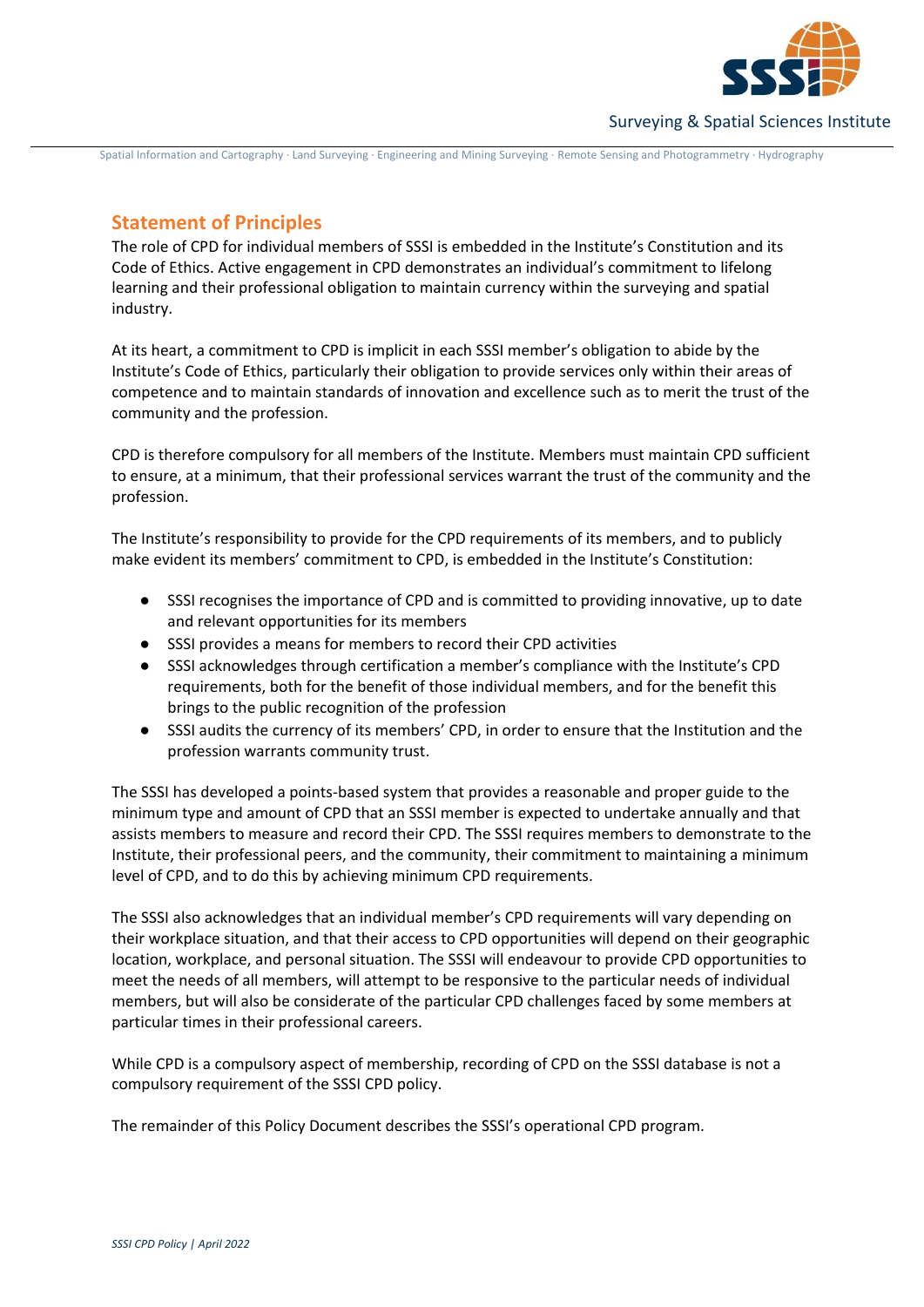

Spatial Information and Cartography ∙ Land Surveying ∙ Engineering and Mining Surveying ∙ Remote Sensing and Photogrammetry ∙ Hydrography

# **Statement of Principles**

The role of CPD for individual members of SSSI is embedded in the Institute's Constitution and its Code of Ethics. Active engagement in CPD demonstrates an individual's commitment to lifelong learning and their professional obligation to maintain currency within the surveying and spatial industry.

At its heart, a commitment to CPD is implicit in each SSSI member's obligation to abide by the Institute's Code of Ethics, particularly their obligation to provide services only within their areas of competence and to maintain standards of innovation and excellence such as to merit the trust of the community and the profession.

CPD is therefore compulsory for all members of the Institute. Members must maintain CPD sufficient to ensure, at a minimum, that their professional services warrant the trust of the community and the profession.

The Institute's responsibility to provide for the CPD requirements of its members, and to publicly make evident its members' commitment to CPD, is embedded in the Institute's Constitution:

- SSSI recognises the importance of CPD and is committed to providing innovative, up to date and relevant opportunities for its members
- SSSI provides a means for members to record their CPD activities
- SSSI acknowledges through certification a member's compliance with the Institute's CPD requirements, both for the benefit of those individual members, and for the benefit this brings to the public recognition of the profession
- SSSI audits the currency of its members' CPD, in order to ensure that the Institution and the profession warrants community trust.

The SSSI has developed a points-based system that provides a reasonable and proper guide to the minimum type and amount of CPD that an SSSI member is expected to undertake annually and that assists members to measure and record their CPD. The SSSI requires members to demonstrate to the Institute, their professional peers, and the community, their commitment to maintaining a minimum level of CPD, and to do this by achieving minimum CPD requirements.

The SSSI also acknowledges that an individual member's CPD requirements will vary depending on their workplace situation, and that their access to CPD opportunities will depend on their geographic location, workplace, and personal situation. The SSSI will endeavour to provide CPD opportunities to meet the needs of all members, will attempt to be responsive to the particular needs of individual members, but will also be considerate of the particular CPD challenges faced by some members at particular times in their professional careers.

While CPD is a compulsory aspect of membership, recording of CPD on the SSSI database is not a compulsory requirement of the SSSI CPD policy.

The remainder of this Policy Document describes the SSSI's operational CPD program.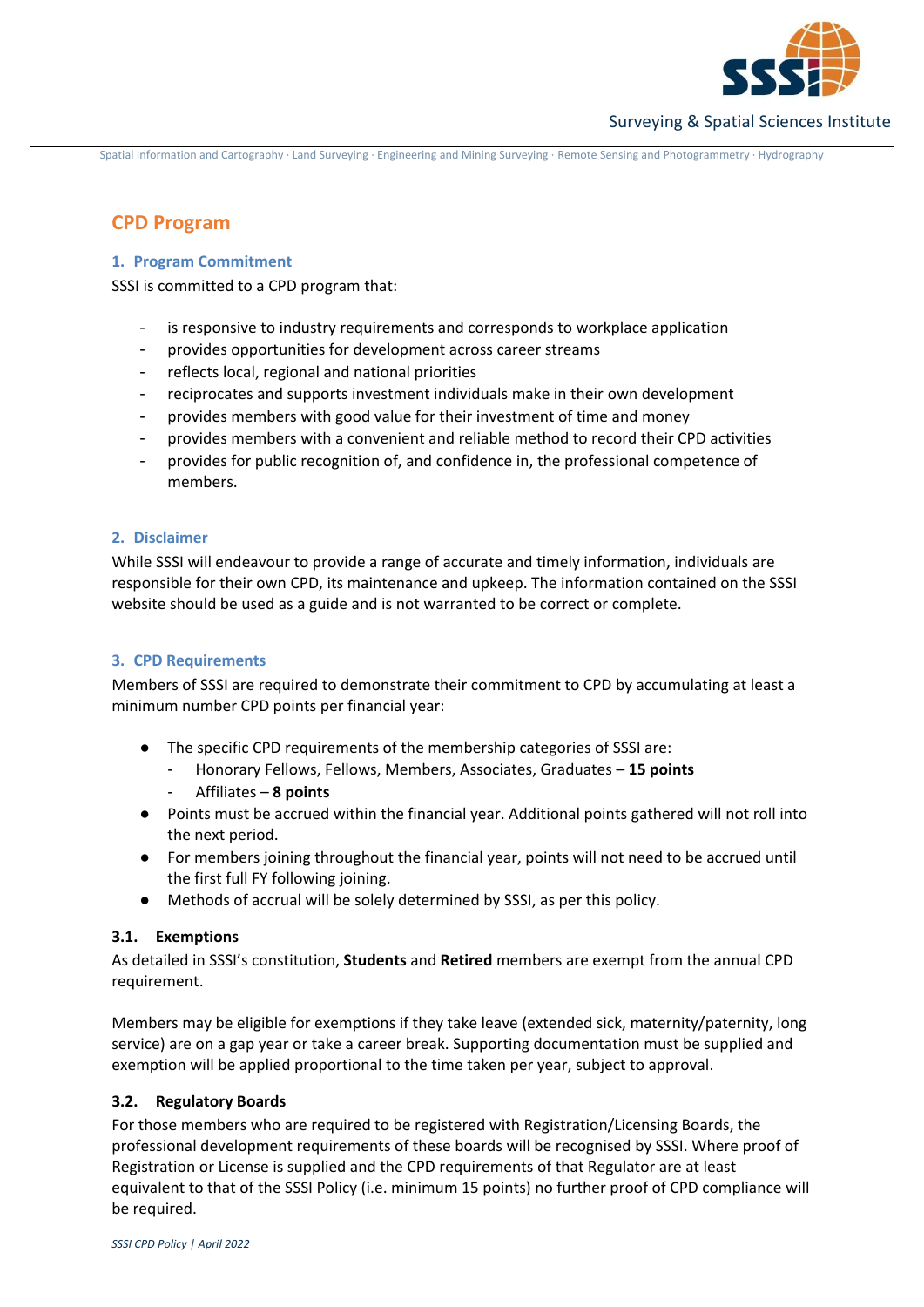

Spatial Information and Cartography ∙ Land Surveying ∙ Engineering and Mining Surveying ∙ Remote Sensing and Photogrammetry ∙ Hydrography

# **CPD Program**

### **1. Program Commitment**

SSSI is committed to a CPD program that:

- is responsive to industry requirements and corresponds to workplace application
- provides opportunities for development across career streams
- reflects local, regional and national priorities
- reciprocates and supports investment individuals make in their own development
- provides members with good value for their investment of time and money
- provides members with a convenient and reliable method to record their CPD activities
- provides for public recognition of, and confidence in, the professional competence of members.

# **2. Disclaimer**

While SSSI will endeavour to provide a range of accurate and timely information, individuals are responsible for their own CPD, its maintenance and upkeep. The information contained on the SSSI website should be used as a guide and is not warranted to be correct or complete.

# **3. CPD Requirements**

Members of SSSI are required to demonstrate their commitment to CPD by accumulating at least a minimum number CPD points per financial year:

- The specific CPD requirements of the membership categories of SSSI are:
	- Honorary Fellows, Fellows, Members, Associates, Graduates **15 points**
	- Affiliates **8 points**
- Points must be accrued within the financial year. Additional points gathered will not roll into the next period.
- For members joining throughout the financial year, points will not need to be accrued until the first full FY following joining.
- Methods of accrual will be solely determined by SSSI, as per this policy.

# **3.1. Exemptions**

As detailed in SSSI's constitution, **Students** and **Retired** members are exempt from the annual CPD requirement.

Members may be eligible for exemptions if they take leave (extended sick, maternity/paternity, long service) are on a gap year or take a career break. Supporting documentation must be supplied and exemption will be applied proportional to the time taken per year, subject to approval.

# **3.2. Regulatory Boards**

For those members who are required to be registered with Registration/Licensing Boards, the professional development requirements of these boards will be recognised by SSSI. Where proof of Registration or License is supplied and the CPD requirements of that Regulator are at least equivalent to that of the SSSI Policy (i.e. minimum 15 points) no further proof of CPD compliance will be required.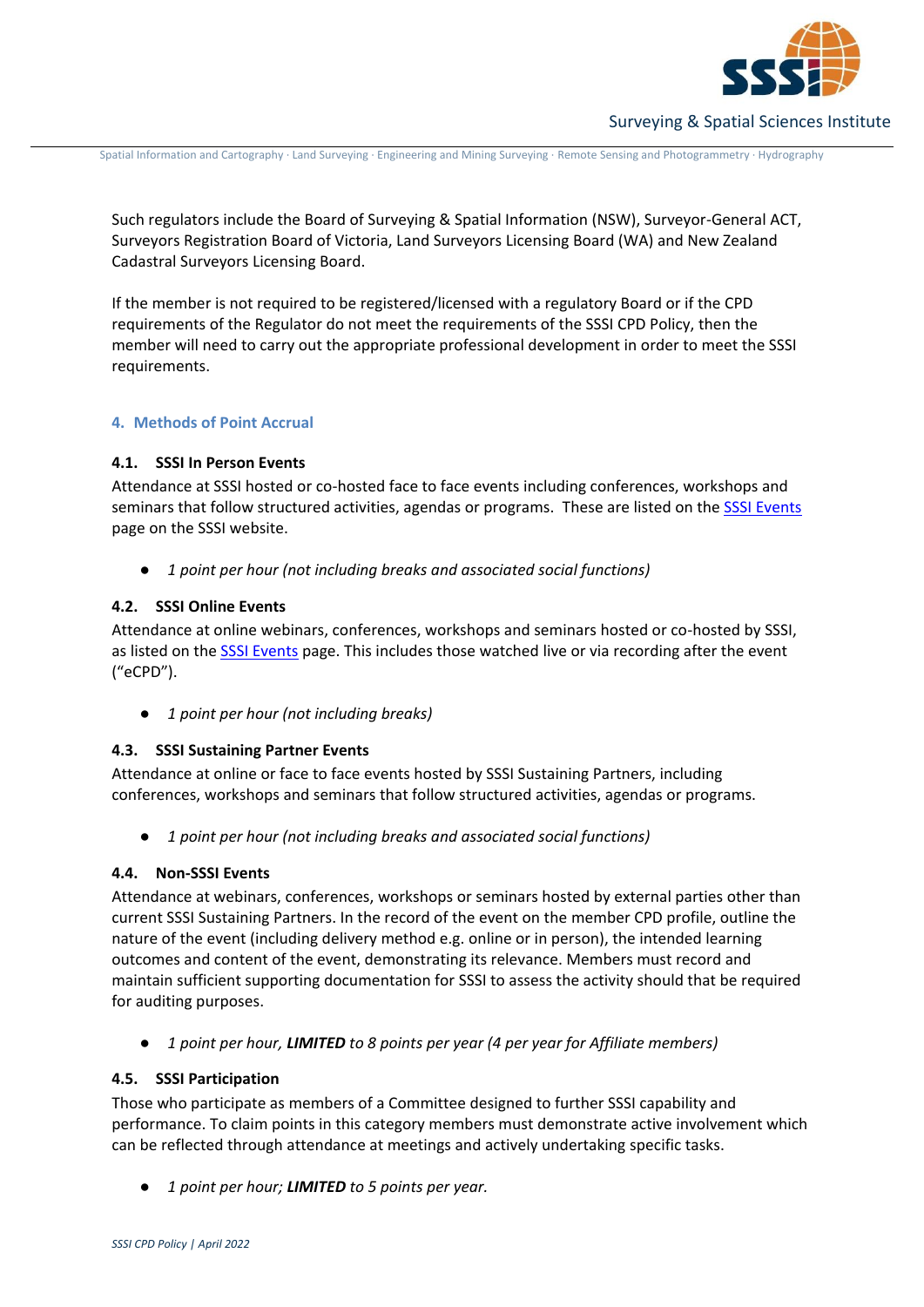

Spatial Information and Cartography ∙ Land Surveying ∙ Engineering and Mining Surveying ∙ Remote Sensing and Photogrammetry ∙ Hydrography

Such regulators include the Board of Surveying & Spatial Information (NSW), Surveyor-General ACT, Surveyors Registration Board of Victoria, Land Surveyors Licensing Board (WA) and New Zealand Cadastral Surveyors Licensing Board.

If the member is not required to be registered/licensed with a regulatory Board or if the CPD requirements of the Regulator do not meet the requirements of the SSSI CPD Policy, then the member will need to carry out the appropriate professional development in order to meet the SSSI requirements.

#### **4. Methods of Point Accrual**

#### **4.1. SSSI In Person Events**

Attendance at SSSI hosted or co-hosted face to face events including conferences, workshops and seminars that follow structured activities, agendas or programs. These are listed on th[e SSSI Events](https://sssi.org.au/events-awards/events) page on the SSSI website.

● *1 point per hour (not including breaks and associated social functions)*

#### **4.2. SSSI Online Events**

Attendance at online webinars, conferences, workshops and seminars hosted or co-hosted by SSSI, as listed on the [SSSI Events](https://urldefense.com/v3/__https:/sssi.org.au/events-awards/events__;!!OMLVqIk!iY1up-HRvAPqOBKuQKNYoV7IbR136J6W60U2B2YGGLJHPfuGDteH6TPCC0OlWg2oH25I3f4TVU_N$) page. This includes those watched live or via recording after the event ("eCPD").

● *1 point per hour (not including breaks)*

# **4.3. SSSI Sustaining Partner Events**

Attendance at online or face to face events hosted by SSSI Sustaining Partners, including conferences, workshops and seminars that follow structured activities, agendas or programs.

● *1 point per hour (not including breaks and associated social functions)*

# **4.4. Non-SSSI Events**

Attendance at webinars, conferences, workshops or seminars hosted by external parties other than current SSSI Sustaining Partners. In the record of the event on the member CPD profile, outline the nature of the event (including delivery method e.g. online or in person), the intended learning outcomes and content of the event, demonstrating its relevance. Members must record and maintain sufficient supporting documentation for SSSI to assess the activity should that be required for auditing purposes.

● *1 point per hour, LIMITED to 8 points per year (4 per year for Affiliate members)* 

#### **4.5. SSSI Participation**

Those who participate as members of a Committee designed to further SSSI capability and performance. To claim points in this category members must demonstrate active involvement which can be reflected through attendance at meetings and actively undertaking specific tasks.

● *1 point per hour; LIMITED to 5 points per year.*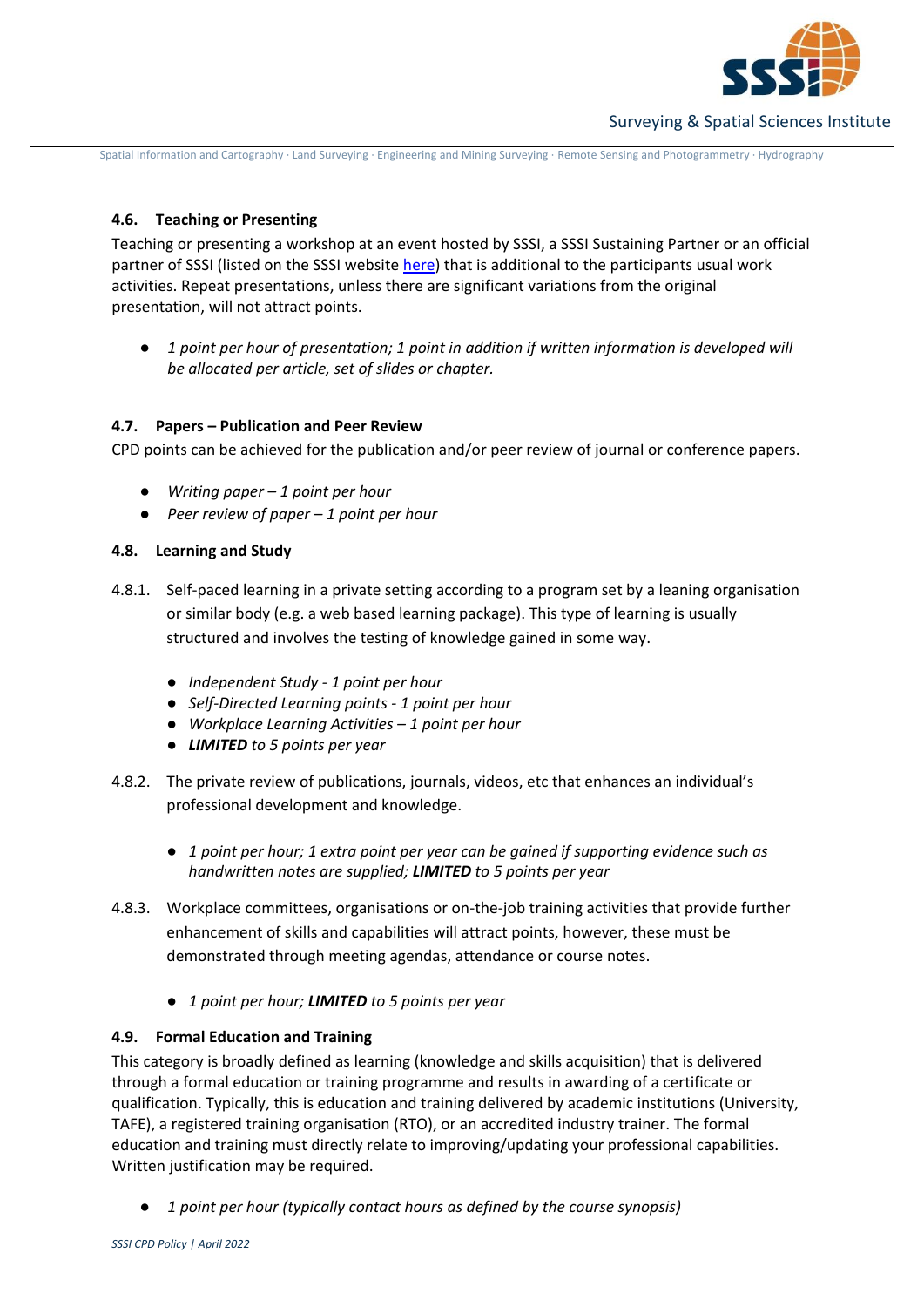

Spatial Information and Cartography ∙ Land Surveying ∙ Engineering and Mining Surveying ∙ Remote Sensing and Photogrammetry ∙ Hydrography

# **4.6. Teaching or Presenting**

Teaching or presenting a workshop at an event hosted by SSSI, a SSSI Sustaining Partner or an official partner of SSSI (listed on the SSSI website [here\)](https://sssi.org.au/sssi-community/partners) that is additional to the participants usual work activities. Repeat presentations, unless there are significant variations from the original presentation, will not attract points.

● *1 point per hour of presentation; 1 point in addition if written information is developed will be allocated per article, set of slides or chapter.* 

# **4.7. Papers – Publication and Peer Review**

CPD points can be achieved for the publication and/or peer review of journal or conference papers.

- *Writing paper – 1 point per hour*
- *Peer review of paper – 1 point per hour*

# **4.8. Learning and Study**

- 4.8.1. Self-paced learning in a private setting according to a program set by a leaning organisation or similar body (e.g. a web based learning package). This type of learning is usually structured and involves the testing of knowledge gained in some way.
	- *Independent Study - 1 point per hour*
	- *Self-Directed Learning points - 1 point per hour*
	- *Workplace Learning Activities – 1 point per hour*
	- *LIMITED to 5 points per year*
- 4.8.2. The private review of publications, journals, videos, etc that enhances an individual's professional development and knowledge.
	- *1 point per hour; 1 extra point per year can be gained if supporting evidence such as handwritten notes are supplied; LIMITED to 5 points per year*
- 4.8.3. Workplace committees, organisations or on-the-job training activities that provide further enhancement of skills and capabilities will attract points, however, these must be demonstrated through meeting agendas, attendance or course notes.
	- *1 point per hour; LIMITED to 5 points per year*

# **4.9. Formal Education and Training**

This category is broadly defined as learning (knowledge and skills acquisition) that is delivered through a formal education or training programme and results in awarding of a certificate or qualification. Typically, this is education and training delivered by academic institutions (University, TAFE), a registered training organisation (RTO), or an accredited industry trainer. The formal education and training must directly relate to improving/updating your professional capabilities. Written justification may be required.

● *1 point per hour (typically contact hours as defined by the course synopsis)*